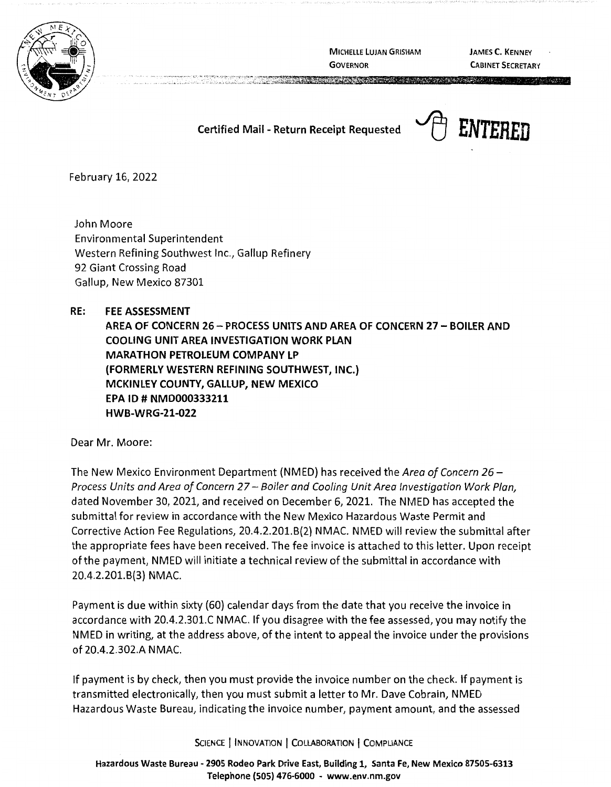

MICHELLE LUJAN GRISHAM **GOVERNOR** 

A CONTRACTOR DE LA CONTRACTACIÓN DE

JAMES C. KENNEY CABINET SECRETARY

**Certified Mail - Return Receipt Requested**  $\rightarrow$  **[4] ENTERED** 



February 16, 2022

John Moore Environmental Superintendent Western Refining Southwest Inc., Gallup Refinery 92 Giant Crossing Road Gallup, New Mexico 87301

 $\cdots$   $\cdots$   $\cdots$   $\cdots$   $\cdots$   $\cdots$   $\cdots$   $\cdots$   $\cdots$   $\cdots$   $\cdots$   $\cdots$   $\cdots$   $\cdots$   $\cdots$   $\cdots$   $\cdots$   $\cdots$   $\cdots$   $\cdots$   $\cdots$   $\cdots$   $\cdots$   $\cdots$   $\cdots$   $\cdots$   $\cdots$   $\cdots$   $\cdots$   $\cdots$   $\cdots$   $\cdots$   $\cdots$   $\cdots$   $\cdots$   $\cdots$   $\cdots$ . In this is a set of the set of  $\mathcal{L}$  , we have the  $L$  -stable

**RE: FEE ASSESSMENT AREA OF CONCERN 26- PROCESS UNITS AND AREA OF CONCERN 27** - **BOILER AND COOLING UNIT AREA INVESTIGATION WORK PLAN MARATHON PETROLEUM COMPANY LP (FORMERLY WESTERN REFINING SOUTHWEST, INC.} MCKINLEY COUNTY, GALLUP, NEW MEXICO EPA** ID# **NMD000333211 HWB-WRG-21-022** 

Dear Mr. Moore:

The New Mexico Environment Department (NMED) has received the Area of Concern 26 – Process Units and Area of Concern 27 - Boiler and Cooling Unit Area Investigation Work Plan, dated November 30, 2021, and received on December 6, 2021. The NMED has accepted the submittal for review in accordance with the New Mexico Hazardous Waste Permit and Corrective Action Fee Regulations, 20.4.2.201.8(2) NMAC. NMED will review the submittal after the appropriate fees have been received. The fee invoice is attached to this letter. Upon receipt of the payment, NMED will initiate a technical review of the submittal in accordance with 20.4.2.201.8(3) NMAC.

Payment is due within sixty (60) calendar days from the date that you receive the invoice in accordance with 20.4.2.301.C NMAC. If you disagree with the fee assessed, you may notify the NMED in writing, at the address above, of the intent to appeal the invoice under the provisions of 20.4.2.302.A NMAC.

If payment is by check, then you must provide the invoice number on the check. If payment is transmitted electronically, then you must submit a letter to Mr. Dave Cobrain, NMED Hazardous Waste Bureau, indicating the invoice number, payment amount, and the assessed

SCIENCE | INNOVATION | COLLABORATION | COMPLIANCE

**Hazardous Waste Bureau** - **2905 Rodeo Park Drive East, Building 1, Santa Fe, New Mexico 87505-6313 Telephone (SOS) 476-6000** - **www.env.nm.gov**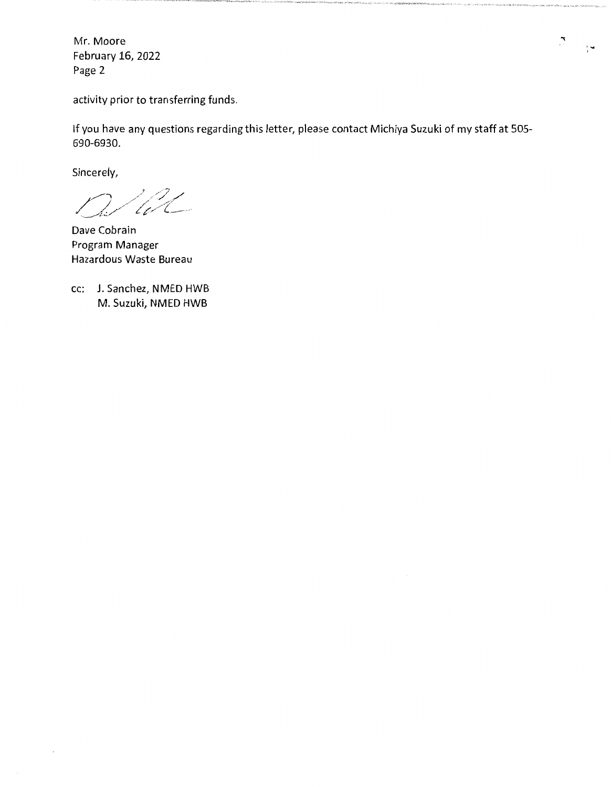Mr. Moore February 16, 2022 Page 2

activity prior to transferring funds.

If you have any questions regarding this letter, please contact Michiya Suzuki of my staff at 505- 690-6930.

Sincerely,

W

Dave Cobrain Program Manager Hazardous Waste Bureau

cc: J. Sanchez, NMED HWB M. Suzuki, NMED HWB

 $\mathcal{L}$